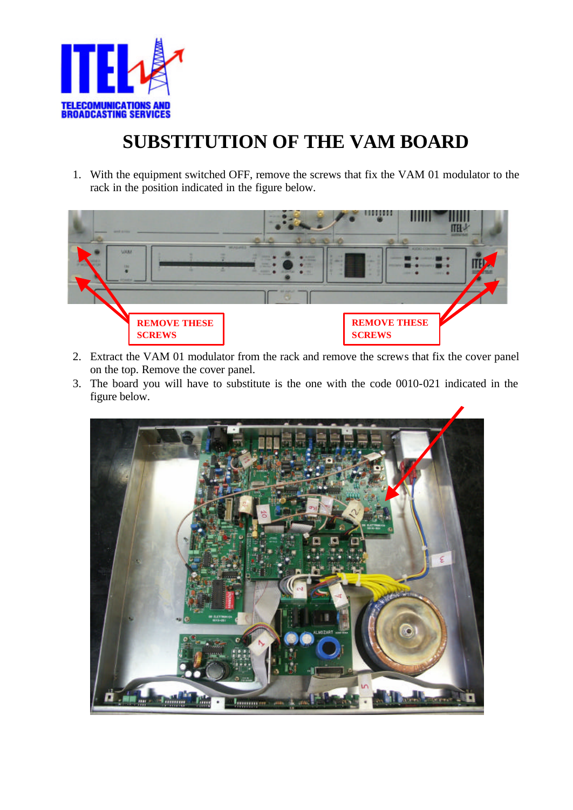

## **SUBSTITUTION OF THE VAM BOARD**

1. With the equipment switched OFF, remove the screws that fix the VAM 01 modulator to the rack in the position indicated in the figure below.



- 2. Extract the VAM 01 modulator from the rack and remove the screws that fix the cover panel on the top. Remove the cover panel.
- 3. The board you will have to substitute is the one with the code 0010-021 indicated in the figure below.

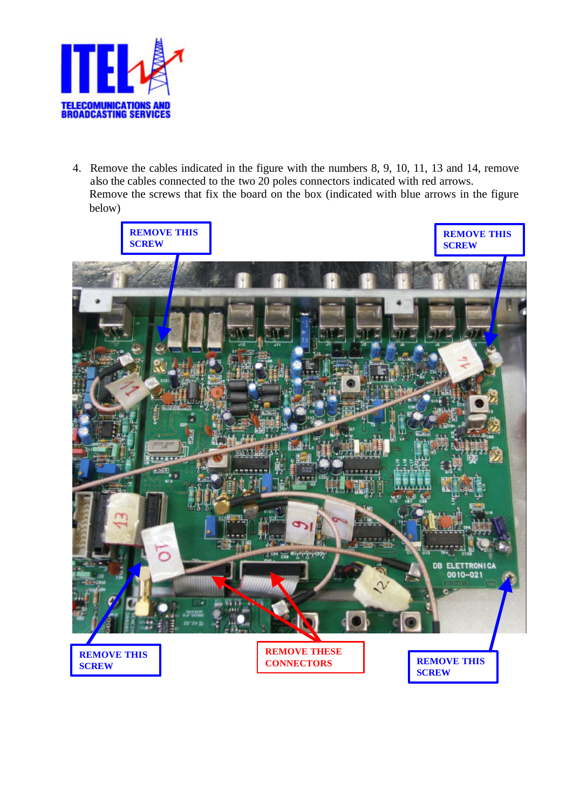

4. Remove the cables indicated in the figure with the numbers 8, 9, 10, 11, 13 and 14, remove also the cables connected to the two 20 poles connectors indicated with red arrows. Remove the screws that fix the board on the box (indicated with blue arrows in the figure below)

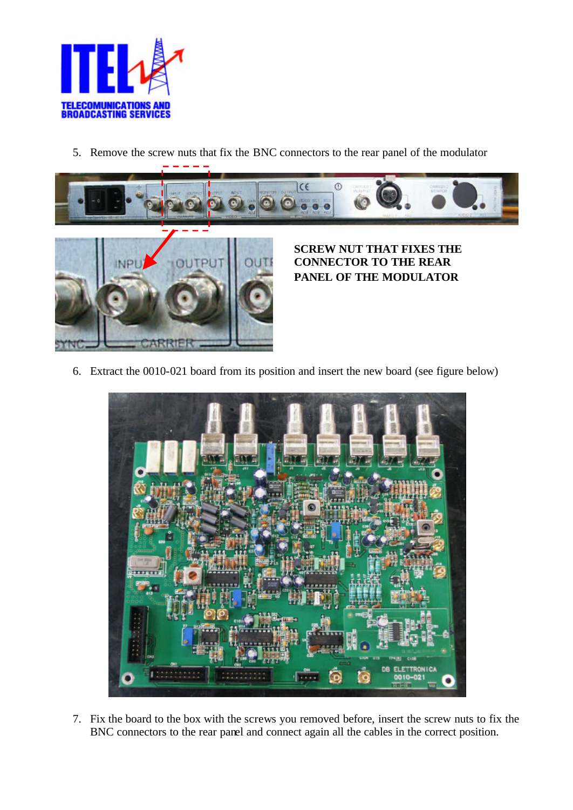

5. Remove the screw nuts that fix the BNC connectors to the rear panel of the modulator





**SCREW NUT THAT FIXES THE CONNECTOR TO THE REAR PANEL OF THE MODULATOR**

6. Extract the 0010-021 board from its position and insert the new board (see figure below)



7. Fix the board to the box with the screws you removed before, insert the screw nuts to fix the BNC connectors to the rear panel and connect again all the cables in the correct position.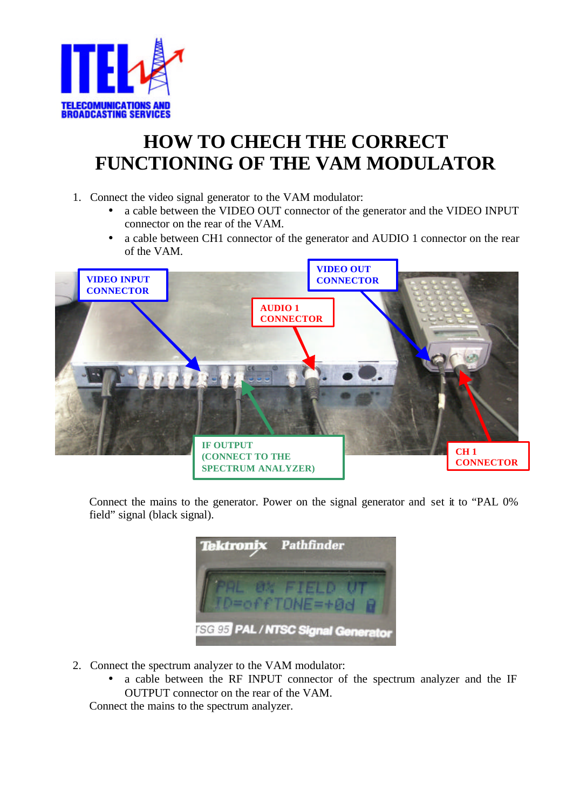

## **HOW TO CHECH THE CORRECT FUNCTIONING OF THE VAM MODULATOR**

- 1. Connect the video signal generator to the VAM modulator:
	- a cable between the VIDEO OUT connector of the generator and the VIDEO INPUT connector on the rear of the VAM.
	- a cable between CH1 connector of the generator and AUDIO 1 connector on the rear of the VAM.



Connect the mains to the generator. Power on the signal generator and set it to "PAL 0% field" signal (black signal).

| Tektronix Pathfinder                      |
|-------------------------------------------|
|                                           |
|                                           |
| <b>ISGI95 PAL / NTSC Signal Generator</b> |

- 2. Connect the spectrum analyzer to the VAM modulator:
	- a cable between the RF INPUT connector of the spectrum analyzer and the IF OUTPUT connector on the rear of the VAM.

Connect the mains to the spectrum analyzer.